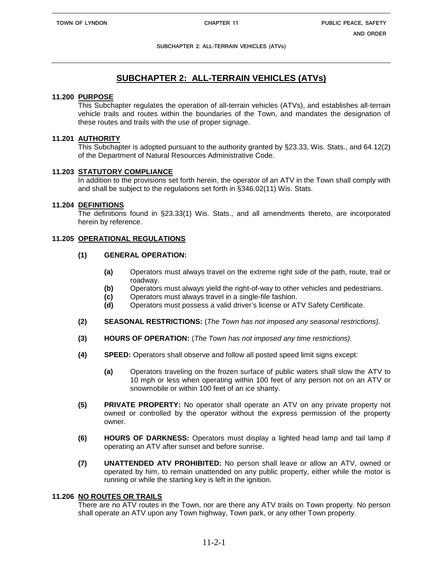**SUBCHAPTER 2: ALL-TERRAIN VEHICLES (ATVs)**

# **SUBCHAPTER 2: ALL-TERRAIN VEHICLES (ATVs)**

#### **11.200 PURPOSE**

This Subchapter regulates the operation of all-terrain vehicles (ATVs), and establishes all-terrain vehicle trails and routes within the boundaries of the Town, and mandates the designation of these routes and trails with the use of proper signage.

#### **11.201 AUTHORITY**

This Subchapter is adopted pursuant to the authority granted by §23.33, Wis. Stats., and 64.12(2) of the Department of Natural Resources Administrative Code.

### **11.203 STATUTORY COMPLIANCE**

In addition to the provisions set forth herein, the operator of an ATV in the Town shall comply with and shall be subject to the regulations set forth in §346.02(11) Wis. Stats.

### **11.204 DEFINITIONS**

The definitions found in §23.33(1) Wis. Stats., and all amendments thereto, are incorporated herein by reference.

# **11.205 OPERATIONAL REGULATIONS**

### **(1) GENERAL OPERATION:**

- **(a)** Operators must always travel on the extreme right side of the path, route, trail or roadway.
- **(b)** Operators must always yield the right-of-way to other vehicles and pedestrians.
- **(c)** Operators must always travel in a single-file fashion.
- **(d)** Operators must possess a valid driver's license or ATV Safety Certificate.
- **(2) SEASONAL RESTRICTIONS:** (*The Town has not imposed any seasonal restrictions).*
- **(3) HOURS OF OPERATION:** (*The Town has not imposed any time restrictions).*
- **(4) SPEED:** Operators shall observe and follow all posted speed limit signs except:
	- **(a)** Operators traveling on the frozen surface of public waters shall slow the ATV to 10 mph or less when operating within 100 feet of any person not on an ATV or snowmobile or within 100 feet of an ice shanty.
- **(5) PRIVATE PROPERTY:** No operator shall operate an ATV on any private property not owned or controlled by the operator without the express permission of the property owner.
- **(6) HOURS OF DARKNESS:** Operators must display a lighted head lamp and tail lamp if operating an ATV after sunset and before sunrise.
- **(7) UNATTENDED ATV PROHIBITED:** No person shall leave or allow an ATV, owned or operated by him, to remain unattended on any public property, either while the motor is running or while the starting key is left in the ignition.

#### **11.206 NO ROUTES OR TRAILS**

There are no ATV routes in the Town, nor are there any ATV trails on Town property. No person shall operate an ATV upon any Town highway, Town park, or any other Town property.